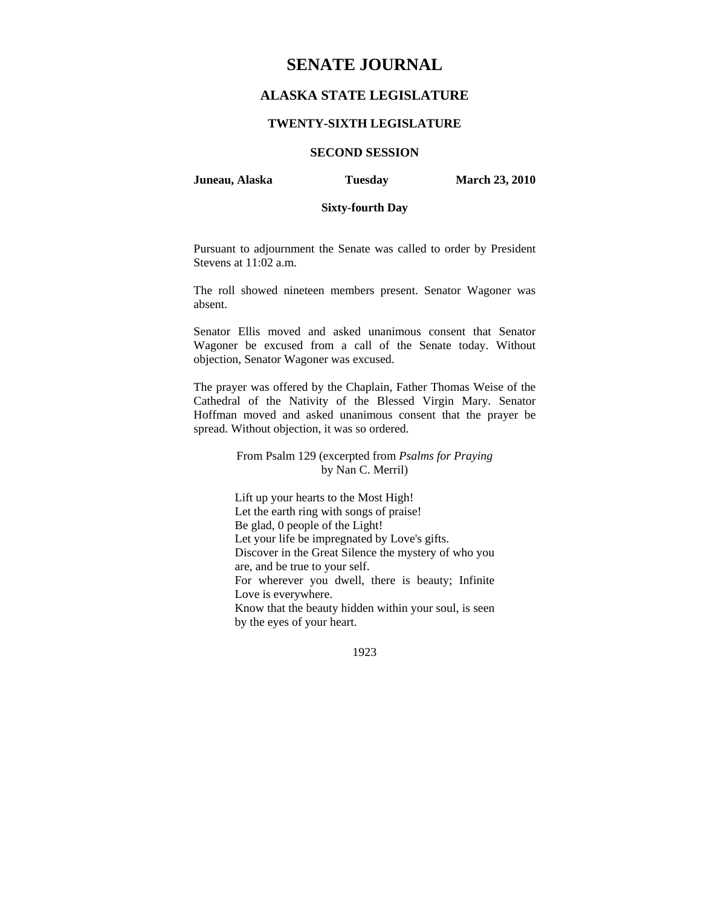# **SENATE JOURNAL**

# **ALASKA STATE LEGISLATURE**

## **TWENTY-SIXTH LEGISLATURE**

## **SECOND SESSION**

**Juneau, Alaska Tuesday March 23, 2010** 

# **Sixty-fourth Day**

Pursuant to adjournment the Senate was called to order by President Stevens at 11:02 a.m.

The roll showed nineteen members present. Senator Wagoner was absent.

Senator Ellis moved and asked unanimous consent that Senator Wagoner be excused from a call of the Senate today. Without objection, Senator Wagoner was excused.

The prayer was offered by the Chaplain, Father Thomas Weise of the Cathedral of the Nativity of the Blessed Virgin Mary. Senator Hoffman moved and asked unanimous consent that the prayer be spread. Without objection, it was so ordered.

> From Psalm 129 (excerpted from *Psalms for Praying*  by Nan C. Merril)

Lift up your hearts to the Most High! Let the earth ring with songs of praise! Be glad, 0 people of the Light! Let your life be impregnated by Love's gifts. Discover in the Great Silence the mystery of who you are, and be true to your self. For wherever you dwell, there is beauty; Infinite Love is everywhere. Know that the beauty hidden within your soul, is seen by the eyes of your heart.

1923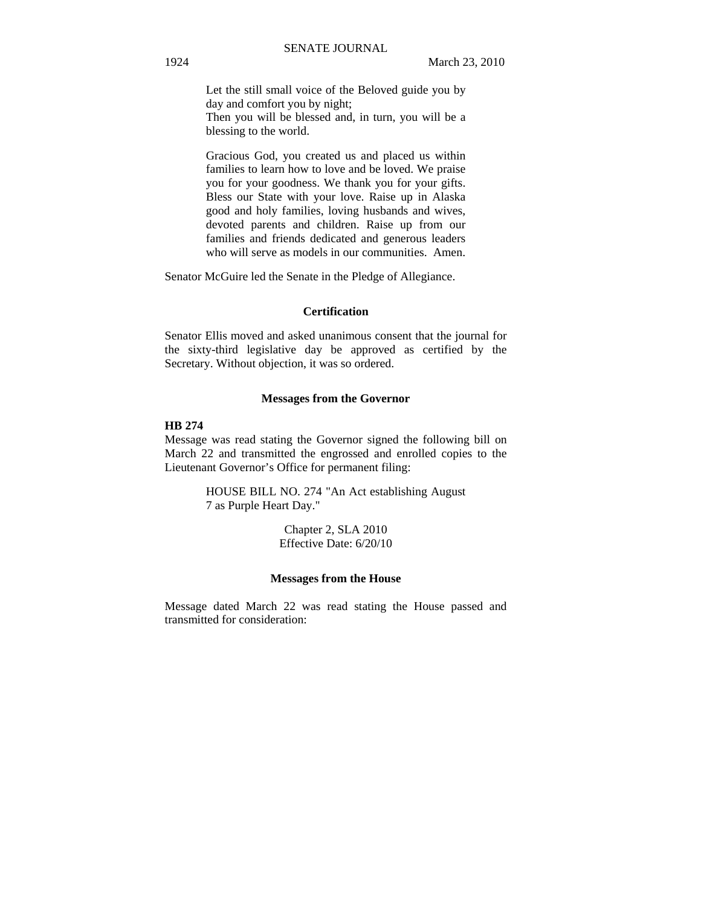Let the still small voice of the Beloved guide you by day and comfort you by night; Then you will be blessed and, in turn, you will be a blessing to the world.

Gracious God, you created us and placed us within families to learn how to love and be loved. We praise you for your goodness. We thank you for your gifts. Bless our State with your love. Raise up in Alaska good and holy families, loving husbands and wives, devoted parents and children. Raise up from our families and friends dedicated and generous leaders who will serve as models in our communities. Amen.

Senator McGuire led the Senate in the Pledge of Allegiance.

#### **Certification**

Senator Ellis moved and asked unanimous consent that the journal for the sixty-third legislative day be approved as certified by the Secretary. Without objection, it was so ordered.

#### **Messages from the Governor**

#### **HB 274**

Message was read stating the Governor signed the following bill on March 22 and transmitted the engrossed and enrolled copies to the Lieutenant Governor's Office for permanent filing:

> HOUSE BILL NO. 274 "An Act establishing August 7 as Purple Heart Day."

> > Chapter 2, SLA 2010 Effective Date: 6/20/10

#### **Messages from the House**

Message dated March 22 was read stating the House passed and transmitted for consideration: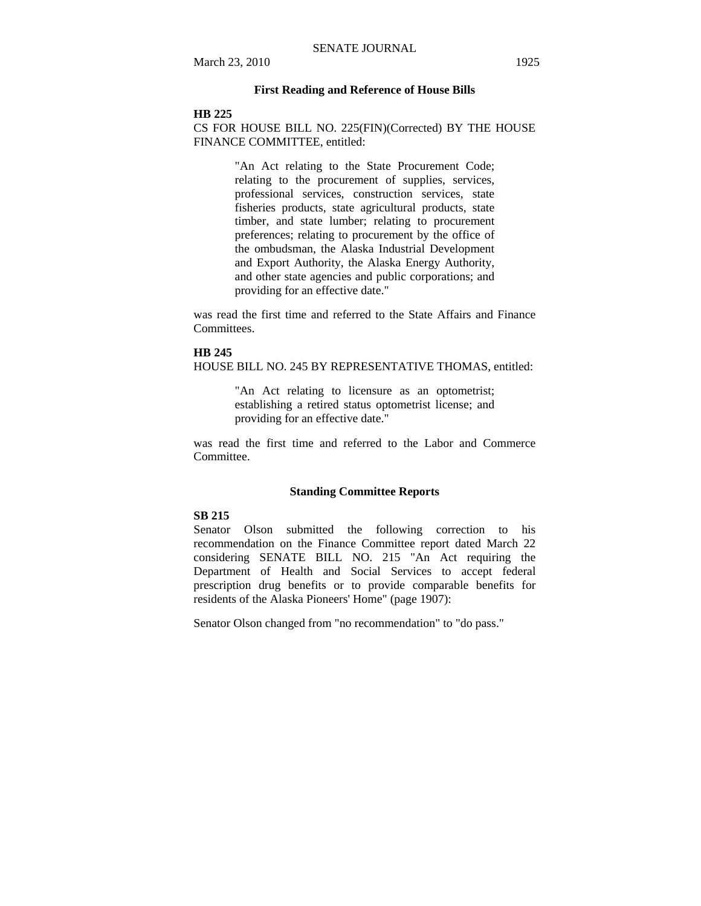## **First Reading and Reference of House Bills**

## **HB 225**

CS FOR HOUSE BILL NO. 225(FIN)(Corrected) BY THE HOUSE FINANCE COMMITTEE, entitled:

> "An Act relating to the State Procurement Code; relating to the procurement of supplies, services, professional services, construction services, state fisheries products, state agricultural products, state timber, and state lumber; relating to procurement preferences; relating to procurement by the office of the ombudsman, the Alaska Industrial Development and Export Authority, the Alaska Energy Authority, and other state agencies and public corporations; and providing for an effective date."

was read the first time and referred to the State Affairs and Finance Committees.

#### **HB 245**

HOUSE BILL NO. 245 BY REPRESENTATIVE THOMAS, entitled:

"An Act relating to licensure as an optometrist; establishing a retired status optometrist license; and providing for an effective date."

was read the first time and referred to the Labor and Commerce Committee.

#### **Standing Committee Reports**

## **SB 215**

Senator Olson submitted the following correction to his recommendation on the Finance Committee report dated March 22 considering SENATE BILL NO. 215 "An Act requiring the Department of Health and Social Services to accept federal prescription drug benefits or to provide comparable benefits for residents of the Alaska Pioneers' Home" (page 1907):

Senator Olson changed from "no recommendation" to "do pass."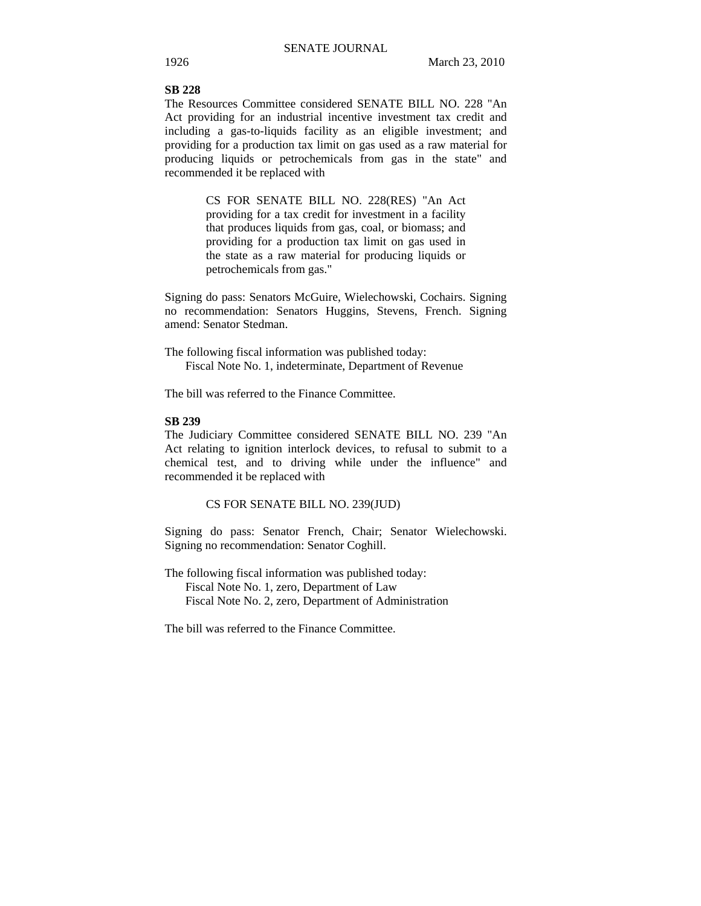**SB 228**  The Resources Committee considered SENATE BILL NO. 228 "An Act providing for an industrial incentive investment tax credit and including a gas-to-liquids facility as an eligible investment; and providing for a production tax limit on gas used as a raw material for producing liquids or petrochemicals from gas in the state" and recommended it be replaced with

> CS FOR SENATE BILL NO. 228(RES) "An Act providing for a tax credit for investment in a facility that produces liquids from gas, coal, or biomass; and providing for a production tax limit on gas used in the state as a raw material for producing liquids or petrochemicals from gas."

Signing do pass: Senators McGuire, Wielechowski, Cochairs. Signing no recommendation: Senators Huggins, Stevens, French. Signing amend: Senator Stedman.

The following fiscal information was published today: Fiscal Note No. 1, indeterminate, Department of Revenue

The bill was referred to the Finance Committee.

# **SB 239**

The Judiciary Committee considered SENATE BILL NO. 239 "An Act relating to ignition interlock devices, to refusal to submit to a chemical test, and to driving while under the influence" and recommended it be replaced with

CS FOR SENATE BILL NO. 239(JUD)

Signing do pass: Senator French, Chair; Senator Wielechowski. Signing no recommendation: Senator Coghill.

The following fiscal information was published today: Fiscal Note No. 1, zero, Department of Law Fiscal Note No. 2, zero, Department of Administration

The bill was referred to the Finance Committee.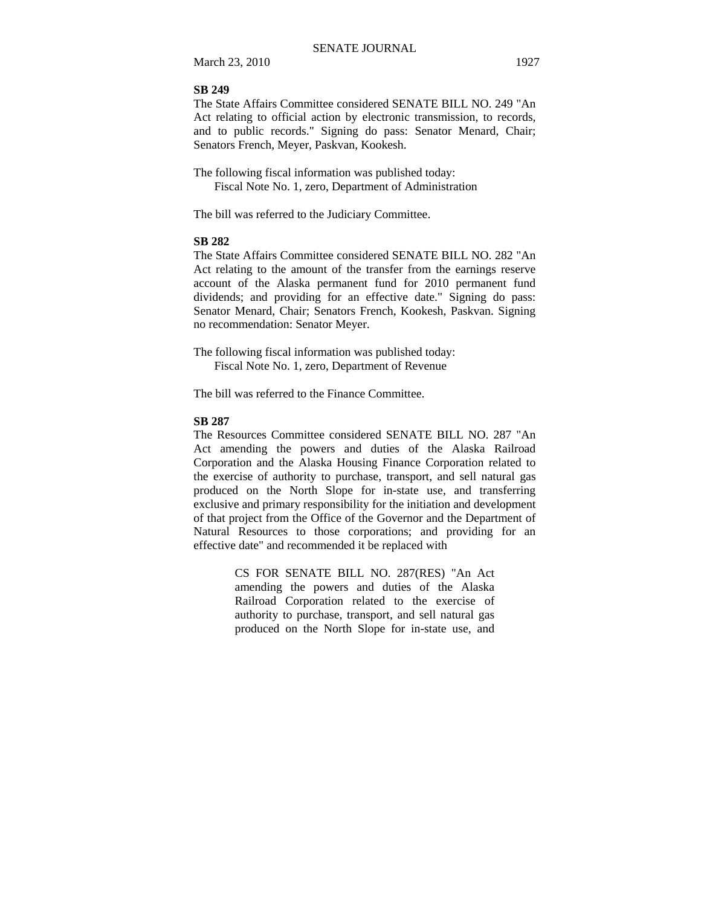## **SB 249**

The State Affairs Committee considered SENATE BILL NO. 249 "An Act relating to official action by electronic transmission, to records, and to public records." Signing do pass: Senator Menard, Chair; Senators French, Meyer, Paskvan, Kookesh.

The following fiscal information was published today: Fiscal Note No. 1, zero, Department of Administration

The bill was referred to the Judiciary Committee.

#### **SB 282**

The State Affairs Committee considered SENATE BILL NO. 282 "An Act relating to the amount of the transfer from the earnings reserve account of the Alaska permanent fund for 2010 permanent fund dividends; and providing for an effective date." Signing do pass: Senator Menard, Chair; Senators French, Kookesh, Paskvan. Signing no recommendation: Senator Meyer.

The following fiscal information was published today: Fiscal Note No. 1, zero, Department of Revenue

The bill was referred to the Finance Committee.

## **SB 287**

The Resources Committee considered SENATE BILL NO. 287 "An Act amending the powers and duties of the Alaska Railroad Corporation and the Alaska Housing Finance Corporation related to the exercise of authority to purchase, transport, and sell natural gas produced on the North Slope for in-state use, and transferring exclusive and primary responsibility for the initiation and development of that project from the Office of the Governor and the Department of Natural Resources to those corporations; and providing for an effective date" and recommended it be replaced with

> CS FOR SENATE BILL NO. 287(RES) "An Act amending the powers and duties of the Alaska Railroad Corporation related to the exercise of authority to purchase, transport, and sell natural gas produced on the North Slope for in-state use, and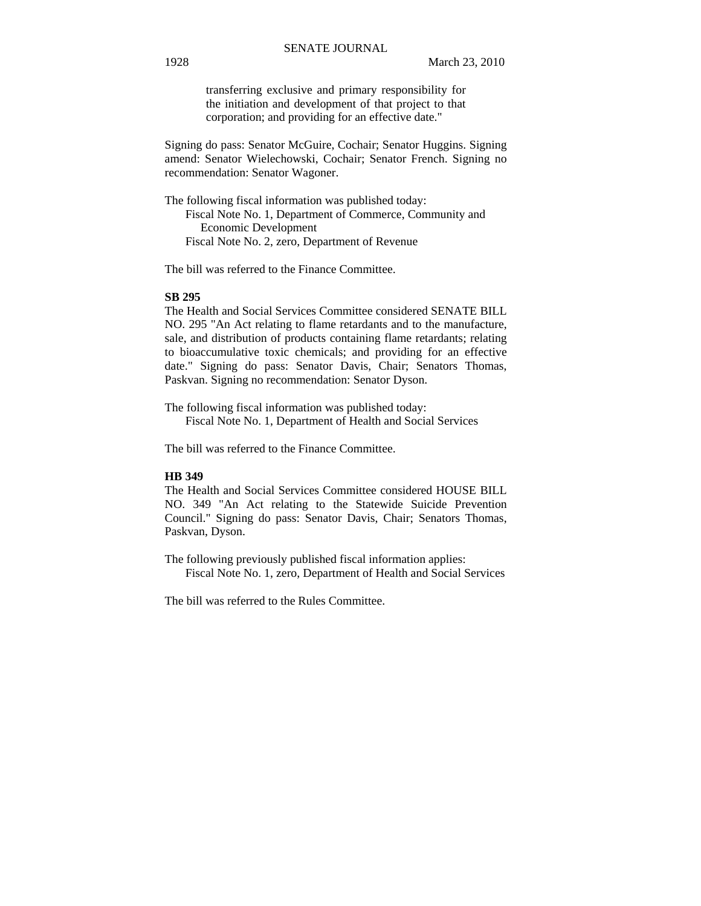transferring exclusive and primary responsibility for the initiation and development of that project to that corporation; and providing for an effective date."

Signing do pass: Senator McGuire, Cochair; Senator Huggins. Signing amend: Senator Wielechowski, Cochair; Senator French. Signing no recommendation: Senator Wagoner.

The following fiscal information was published today:

 Fiscal Note No. 1, Department of Commerce, Community and Economic Development Fiscal Note No. 2, zero, Department of Revenue

The bill was referred to the Finance Committee.

#### **SB 295**

The Health and Social Services Committee considered SENATE BILL NO. 295 "An Act relating to flame retardants and to the manufacture, sale, and distribution of products containing flame retardants; relating to bioaccumulative toxic chemicals; and providing for an effective date." Signing do pass: Senator Davis, Chair; Senators Thomas, Paskvan. Signing no recommendation: Senator Dyson.

The following fiscal information was published today: Fiscal Note No. 1, Department of Health and Social Services

The bill was referred to the Finance Committee.

## **HB 349**

The Health and Social Services Committee considered HOUSE BILL NO. 349 "An Act relating to the Statewide Suicide Prevention Council." Signing do pass: Senator Davis, Chair; Senators Thomas, Paskvan, Dyson.

The following previously published fiscal information applies: Fiscal Note No. 1, zero, Department of Health and Social Services

The bill was referred to the Rules Committee.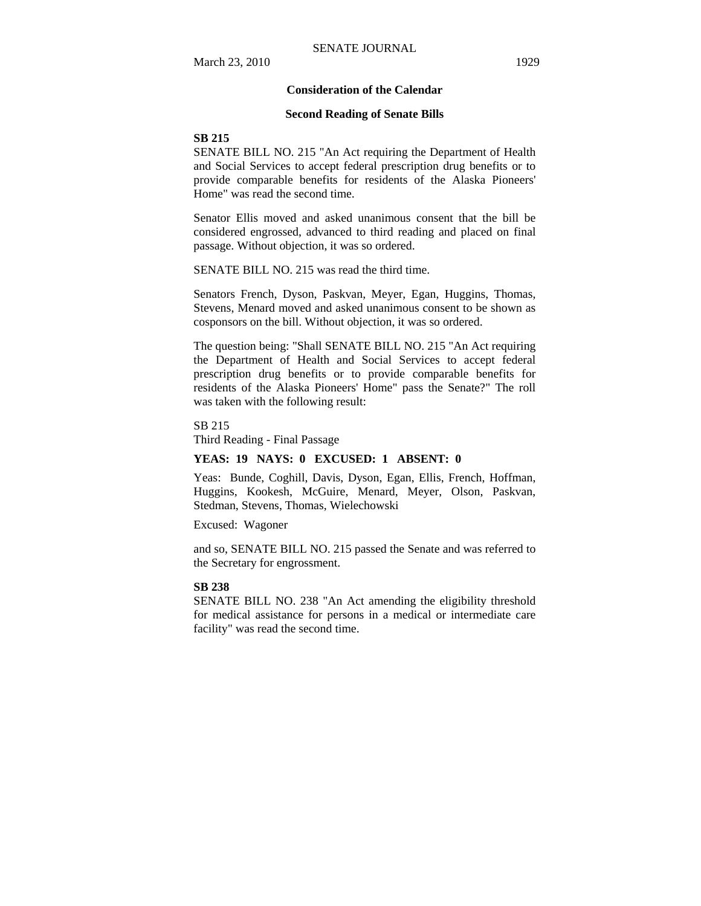#### **Consideration of the Calendar**

#### **Second Reading of Senate Bills**

## **SB 215**

SENATE BILL NO. 215 "An Act requiring the Department of Health and Social Services to accept federal prescription drug benefits or to provide comparable benefits for residents of the Alaska Pioneers' Home" was read the second time.

Senator Ellis moved and asked unanimous consent that the bill be considered engrossed, advanced to third reading and placed on final passage. Without objection, it was so ordered.

SENATE BILL NO. 215 was read the third time.

Senators French, Dyson, Paskvan, Meyer, Egan, Huggins, Thomas, Stevens, Menard moved and asked unanimous consent to be shown as cosponsors on the bill. Without objection, it was so ordered.

The question being: "Shall SENATE BILL NO. 215 "An Act requiring the Department of Health and Social Services to accept federal prescription drug benefits or to provide comparable benefits for residents of the Alaska Pioneers' Home" pass the Senate?" The roll was taken with the following result:

SB 215

Third Reading - Final Passage

#### **YEAS: 19 NAYS: 0 EXCUSED: 1 ABSENT: 0**

Yeas: Bunde, Coghill, Davis, Dyson, Egan, Ellis, French, Hoffman, Huggins, Kookesh, McGuire, Menard, Meyer, Olson, Paskvan, Stedman, Stevens, Thomas, Wielechowski

Excused: Wagoner

and so, SENATE BILL NO. 215 passed the Senate and was referred to the Secretary for engrossment.

#### **SB 238**

SENATE BILL NO. 238 "An Act amending the eligibility threshold for medical assistance for persons in a medical or intermediate care facility" was read the second time.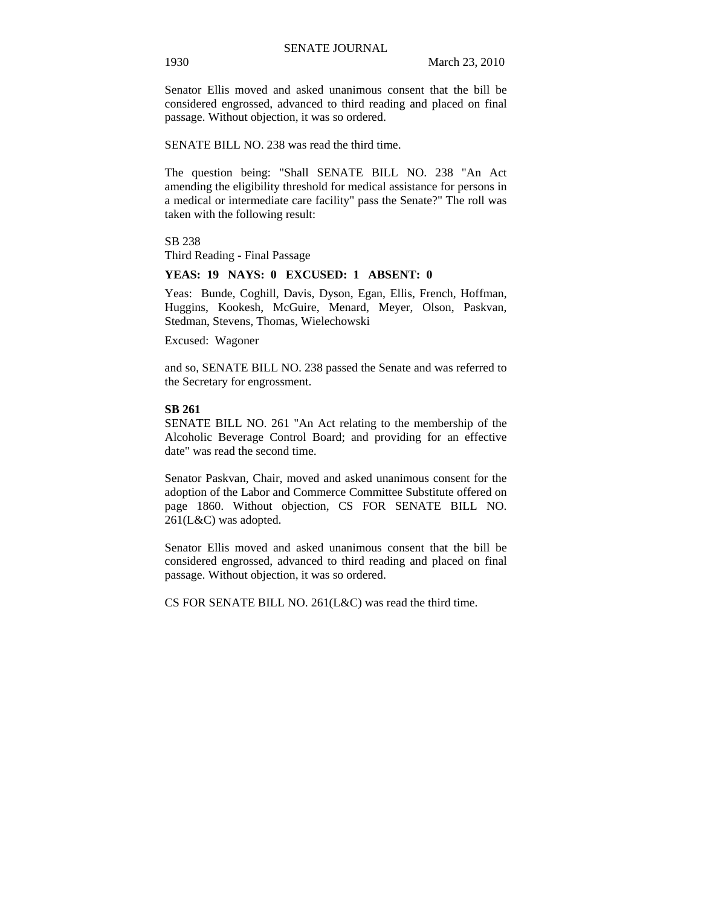Senator Ellis moved and asked unanimous consent that the bill be considered engrossed, advanced to third reading and placed on final passage. Without objection, it was so ordered.

SENATE BILL NO. 238 was read the third time.

The question being: "Shall SENATE BILL NO. 238 "An Act amending the eligibility threshold for medical assistance for persons in a medical or intermediate care facility" pass the Senate?" The roll was taken with the following result:

SB 238

Third Reading - Final Passage

#### **YEAS: 19 NAYS: 0 EXCUSED: 1 ABSENT: 0**

Yeas: Bunde, Coghill, Davis, Dyson, Egan, Ellis, French, Hoffman, Huggins, Kookesh, McGuire, Menard, Meyer, Olson, Paskvan, Stedman, Stevens, Thomas, Wielechowski

Excused: Wagoner

and so, SENATE BILL NO. 238 passed the Senate and was referred to the Secretary for engrossment.

#### **SB 261**

SENATE BILL NO. 261 "An Act relating to the membership of the Alcoholic Beverage Control Board; and providing for an effective date" was read the second time.

Senator Paskvan, Chair, moved and asked unanimous consent for the adoption of the Labor and Commerce Committee Substitute offered on page 1860. Without objection, CS FOR SENATE BILL NO. 261(L&C) was adopted.

Senator Ellis moved and asked unanimous consent that the bill be considered engrossed, advanced to third reading and placed on final passage. Without objection, it was so ordered.

CS FOR SENATE BILL NO. 261(L&C) was read the third time.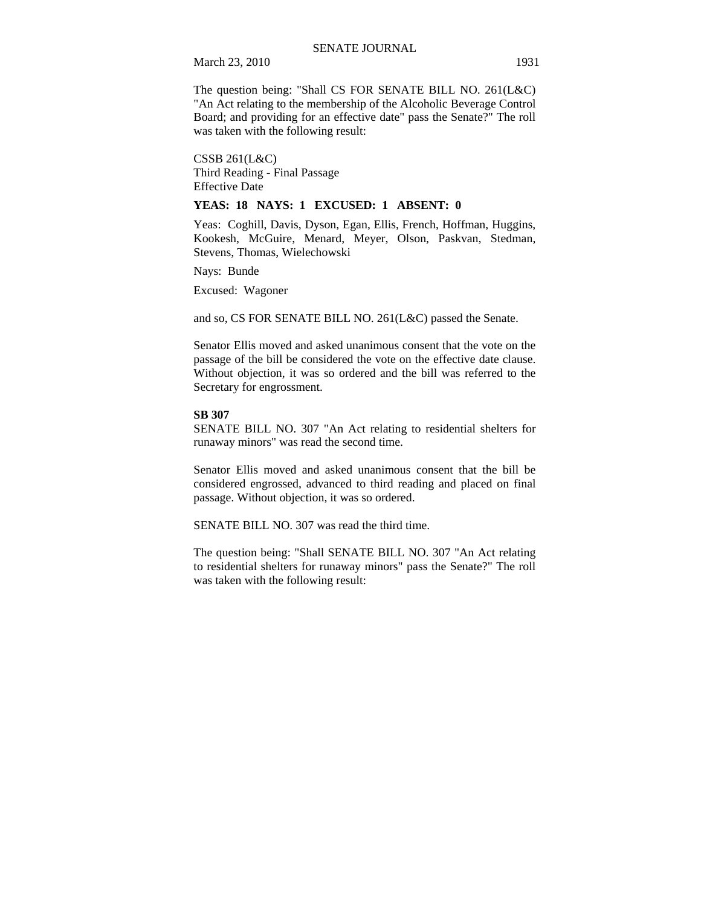The question being: "Shall CS FOR SENATE BILL NO. 261(L&C) "An Act relating to the membership of the Alcoholic Beverage Control Board; and providing for an effective date" pass the Senate?" The roll was taken with the following result:

CSSB 261(L&C) Third Reading - Final Passage Effective Date

#### **YEAS: 18 NAYS: 1 EXCUSED: 1 ABSENT: 0**

Yeas: Coghill, Davis, Dyson, Egan, Ellis, French, Hoffman, Huggins, Kookesh, McGuire, Menard, Meyer, Olson, Paskvan, Stedman, Stevens, Thomas, Wielechowski

Nays: Bunde

Excused: Wagoner

and so, CS FOR SENATE BILL NO. 261(L&C) passed the Senate.

Senator Ellis moved and asked unanimous consent that the vote on the passage of the bill be considered the vote on the effective date clause. Without objection, it was so ordered and the bill was referred to the Secretary for engrossment.

## **SB 307**

SENATE BILL NO. 307 "An Act relating to residential shelters for runaway minors" was read the second time.

Senator Ellis moved and asked unanimous consent that the bill be considered engrossed, advanced to third reading and placed on final passage. Without objection, it was so ordered.

SENATE BILL NO. 307 was read the third time.

The question being: "Shall SENATE BILL NO. 307 "An Act relating to residential shelters for runaway minors" pass the Senate?" The roll was taken with the following result: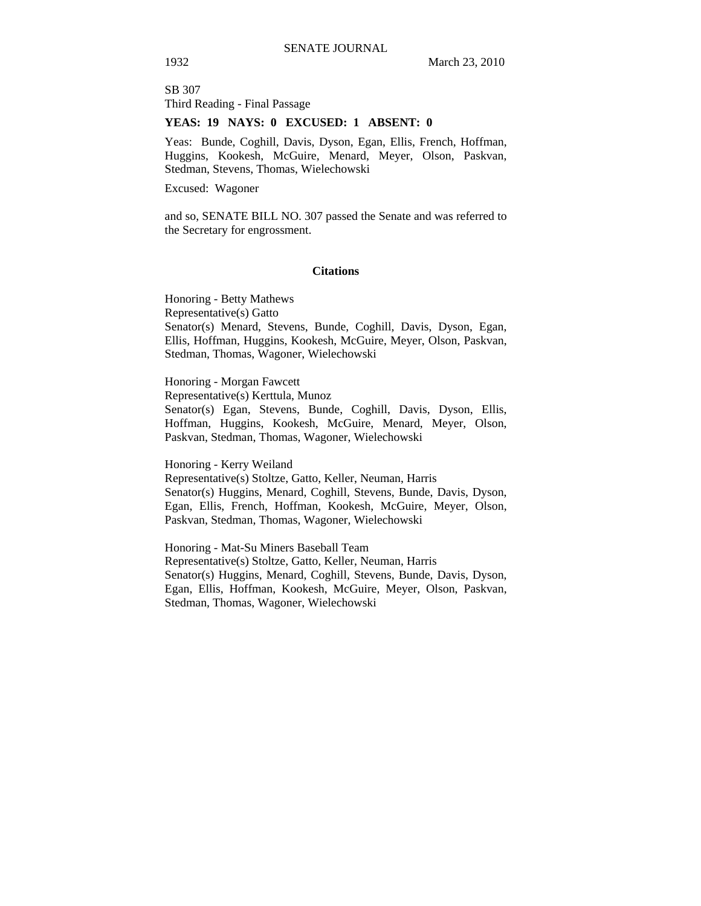SB 307 Third Reading - Final Passage

## **YEAS: 19 NAYS: 0 EXCUSED: 1 ABSENT: 0**

Yeas: Bunde, Coghill, Davis, Dyson, Egan, Ellis, French, Hoffman, Huggins, Kookesh, McGuire, Menard, Meyer, Olson, Paskvan, Stedman, Stevens, Thomas, Wielechowski

Excused: Wagoner

and so, SENATE BILL NO. 307 passed the Senate and was referred to the Secretary for engrossment.

#### **Citations**

Honoring - Betty Mathews Representative(s) Gatto Senator(s) Menard, Stevens, Bunde, Coghill, Davis, Dyson, Egan, Ellis, Hoffman, Huggins, Kookesh, McGuire, Meyer, Olson, Paskvan, Stedman, Thomas, Wagoner, Wielechowski

Honoring - Morgan Fawcett

Representative(s) Kerttula, Munoz

Senator(s) Egan, Stevens, Bunde, Coghill, Davis, Dyson, Ellis, Hoffman, Huggins, Kookesh, McGuire, Menard, Meyer, Olson, Paskvan, Stedman, Thomas, Wagoner, Wielechowski

Honoring - Kerry Weiland

Representative(s) Stoltze, Gatto, Keller, Neuman, Harris Senator(s) Huggins, Menard, Coghill, Stevens, Bunde, Davis, Dyson, Egan, Ellis, French, Hoffman, Kookesh, McGuire, Meyer, Olson, Paskvan, Stedman, Thomas, Wagoner, Wielechowski

Honoring - Mat-Su Miners Baseball Team Representative(s) Stoltze, Gatto, Keller, Neuman, Harris Senator(s) Huggins, Menard, Coghill, Stevens, Bunde, Davis, Dyson, Egan, Ellis, Hoffman, Kookesh, McGuire, Meyer, Olson, Paskvan, Stedman, Thomas, Wagoner, Wielechowski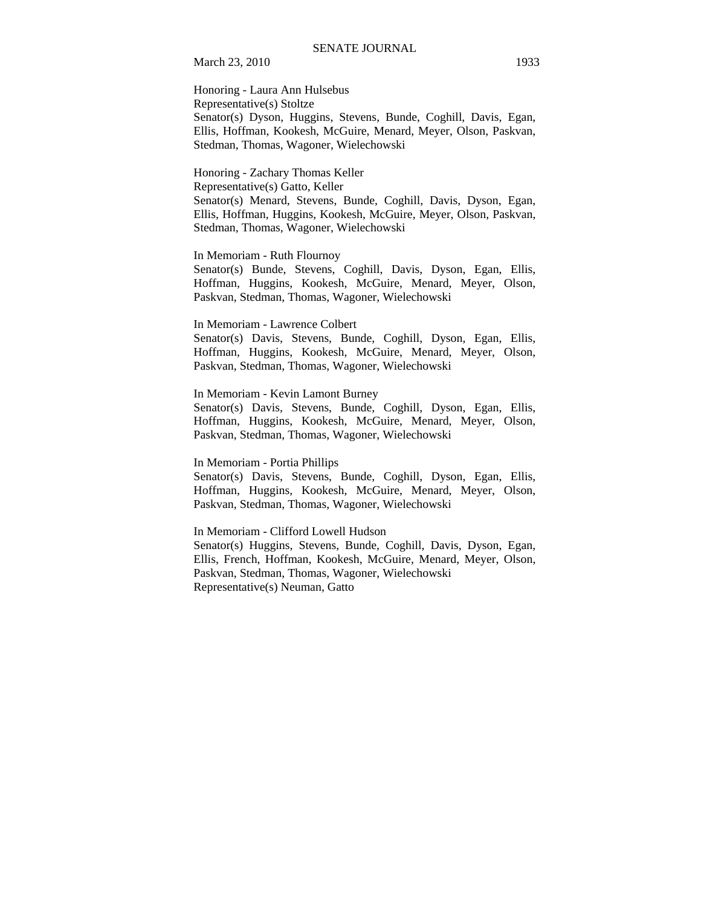Honoring - Laura Ann Hulsebus Representative(s) Stoltze Senator(s) Dyson, Huggins, Stevens, Bunde, Coghill, Davis, Egan, Ellis, Hoffman, Kookesh, McGuire, Menard, Meyer, Olson, Paskvan, Stedman, Thomas, Wagoner, Wielechowski

Honoring - Zachary Thomas Keller Representative(s) Gatto, Keller Senator(s) Menard, Stevens, Bunde, Coghill, Davis, Dyson, Egan, Ellis, Hoffman, Huggins, Kookesh, McGuire, Meyer, Olson, Paskvan, Stedman, Thomas, Wagoner, Wielechowski

In Memoriam - Ruth Flournoy

Senator(s) Bunde, Stevens, Coghill, Davis, Dyson, Egan, Ellis, Hoffman, Huggins, Kookesh, McGuire, Menard, Meyer, Olson, Paskvan, Stedman, Thomas, Wagoner, Wielechowski

In Memoriam - Lawrence Colbert

Senator(s) Davis, Stevens, Bunde, Coghill, Dyson, Egan, Ellis, Hoffman, Huggins, Kookesh, McGuire, Menard, Meyer, Olson, Paskvan, Stedman, Thomas, Wagoner, Wielechowski

In Memoriam - Kevin Lamont Burney

Senator(s) Davis, Stevens, Bunde, Coghill, Dyson, Egan, Ellis, Hoffman, Huggins, Kookesh, McGuire, Menard, Meyer, Olson, Paskvan, Stedman, Thomas, Wagoner, Wielechowski

In Memoriam - Portia Phillips

Senator(s) Davis, Stevens, Bunde, Coghill, Dyson, Egan, Ellis, Hoffman, Huggins, Kookesh, McGuire, Menard, Meyer, Olson, Paskvan, Stedman, Thomas, Wagoner, Wielechowski

In Memoriam - Clifford Lowell Hudson Senator(s) Huggins, Stevens, Bunde, Coghill, Davis, Dyson, Egan, Ellis, French, Hoffman, Kookesh, McGuire, Menard, Meyer, Olson, Paskvan, Stedman, Thomas, Wagoner, Wielechowski Representative(s) Neuman, Gatto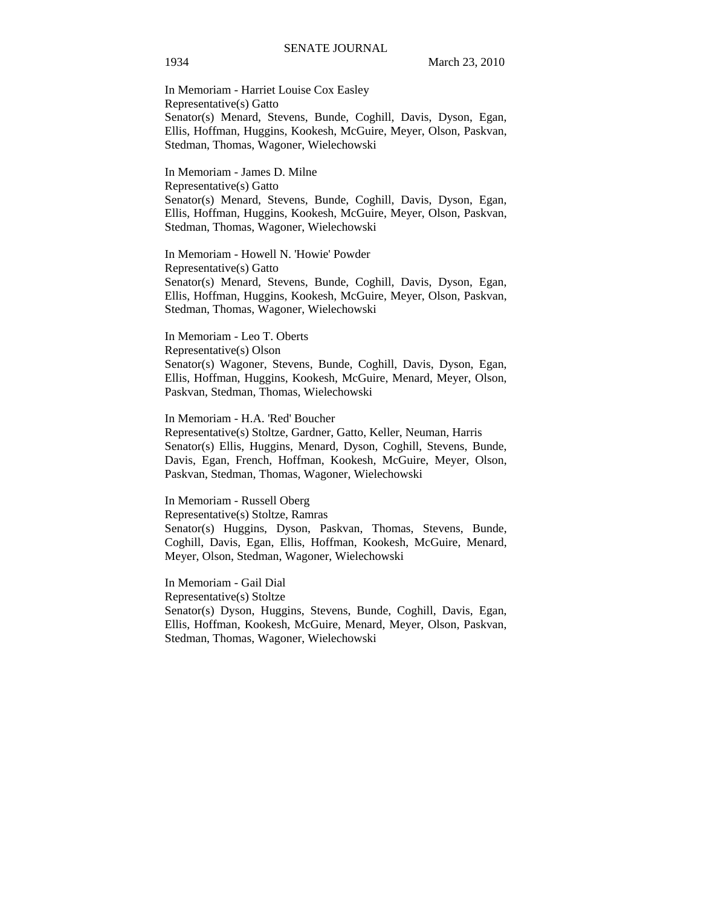In Memoriam - Harriet Louise Cox Easley Representative(s) Gatto Senator(s) Menard, Stevens, Bunde, Coghill, Davis, Dyson, Egan, Ellis, Hoffman, Huggins, Kookesh, McGuire, Meyer, Olson, Paskvan, Stedman, Thomas, Wagoner, Wielechowski

In Memoriam - James D. Milne Representative(s) Gatto Senator(s) Menard, Stevens, Bunde, Coghill, Davis, Dyson, Egan, Ellis, Hoffman, Huggins, Kookesh, McGuire, Meyer, Olson, Paskvan, Stedman, Thomas, Wagoner, Wielechowski

In Memoriam - Howell N. 'Howie' Powder Representative(s) Gatto Senator(s) Menard, Stevens, Bunde, Coghill, Davis, Dyson, Egan, Ellis, Hoffman, Huggins, Kookesh, McGuire, Meyer, Olson, Paskvan, Stedman, Thomas, Wagoner, Wielechowski

In Memoriam - Leo T. Oberts Representative(s) Olson Senator(s) Wagoner, Stevens, Bunde, Coghill, Davis, Dyson, Egan, Ellis, Hoffman, Huggins, Kookesh, McGuire, Menard, Meyer, Olson, Paskvan, Stedman, Thomas, Wielechowski

In Memoriam - H.A. 'Red' Boucher

Representative(s) Stoltze, Gardner, Gatto, Keller, Neuman, Harris Senator(s) Ellis, Huggins, Menard, Dyson, Coghill, Stevens, Bunde, Davis, Egan, French, Hoffman, Kookesh, McGuire, Meyer, Olson, Paskvan, Stedman, Thomas, Wagoner, Wielechowski

In Memoriam - Russell Oberg Representative(s) Stoltze, Ramras Senator(s) Huggins, Dyson, Paskvan, Thomas, Stevens, Bunde, Coghill, Davis, Egan, Ellis, Hoffman, Kookesh, McGuire, Menard, Meyer, Olson, Stedman, Wagoner, Wielechowski

In Memoriam - Gail Dial Representative(s) Stoltze Senator(s) Dyson, Huggins, Stevens, Bunde, Coghill, Davis, Egan, Ellis, Hoffman, Kookesh, McGuire, Menard, Meyer, Olson, Paskvan, Stedman, Thomas, Wagoner, Wielechowski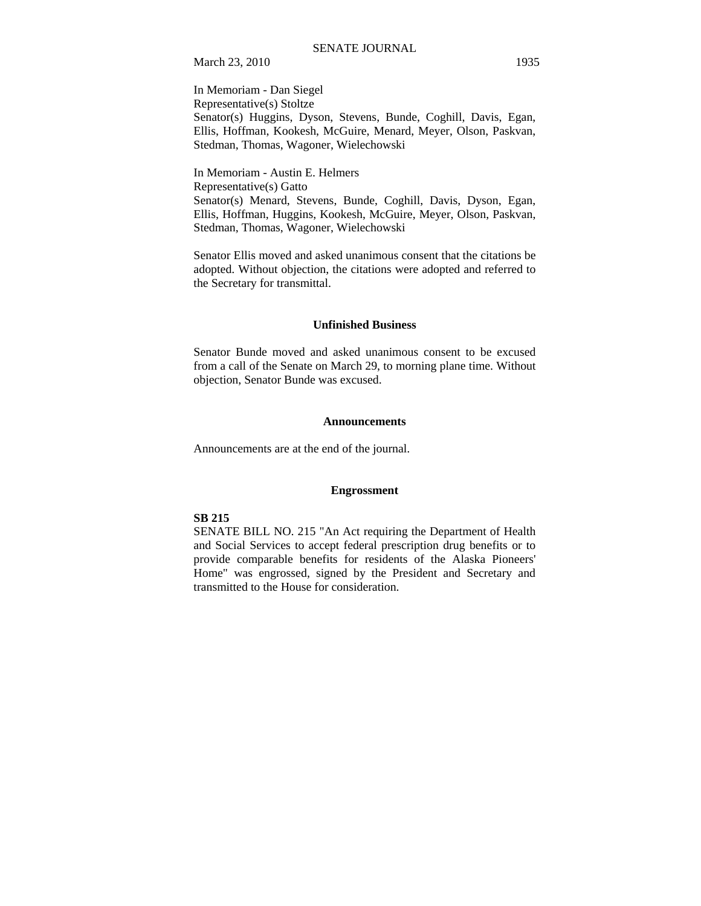In Memoriam - Dan Siegel Representative(s) Stoltze Senator(s) Huggins, Dyson, Stevens, Bunde, Coghill, Davis, Egan, Ellis, Hoffman, Kookesh, McGuire, Menard, Meyer, Olson, Paskvan, Stedman, Thomas, Wagoner, Wielechowski

In Memoriam - Austin E. Helmers Representative(s) Gatto Senator(s) Menard, Stevens, Bunde, Coghill, Davis, Dyson, Egan, Ellis, Hoffman, Huggins, Kookesh, McGuire, Meyer, Olson, Paskvan, Stedman, Thomas, Wagoner, Wielechowski

Senator Ellis moved and asked unanimous consent that the citations be adopted. Without objection, the citations were adopted and referred to the Secretary for transmittal.

#### **Unfinished Business**

Senator Bunde moved and asked unanimous consent to be excused from a call of the Senate on March 29, to morning plane time. Without objection, Senator Bunde was excused.

#### **Announcements**

Announcements are at the end of the journal.

## **Engrossment**

## **SB 215**

SENATE BILL NO. 215 "An Act requiring the Department of Health and Social Services to accept federal prescription drug benefits or to provide comparable benefits for residents of the Alaska Pioneers' Home" was engrossed, signed by the President and Secretary and transmitted to the House for consideration.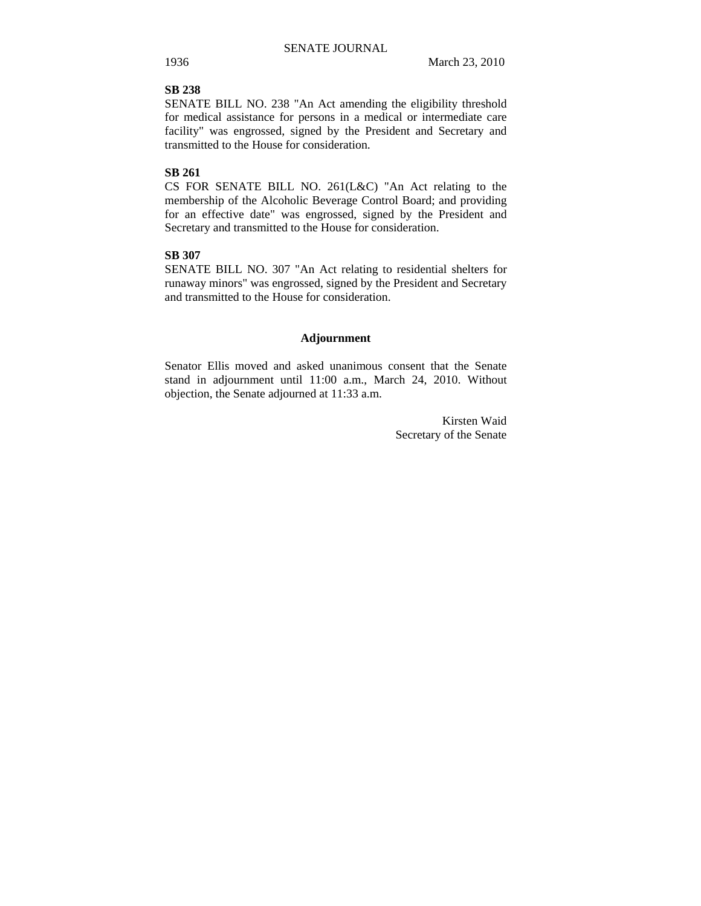## **SB 238**

SENATE BILL NO. 238 "An Act amending the eligibility threshold for medical assistance for persons in a medical or intermediate care facility" was engrossed, signed by the President and Secretary and transmitted to the House for consideration.

## **SB 261**

CS FOR SENATE BILL NO. 261(L&C) "An Act relating to the membership of the Alcoholic Beverage Control Board; and providing for an effective date" was engrossed, signed by the President and Secretary and transmitted to the House for consideration.

# **SB 307**

SENATE BILL NO. 307 "An Act relating to residential shelters for runaway minors" was engrossed, signed by the President and Secretary and transmitted to the House for consideration.

#### **Adjournment**

Senator Ellis moved and asked unanimous consent that the Senate stand in adjournment until 11:00 a.m., March 24, 2010. Without objection, the Senate adjourned at 11:33 a.m.

> Kirsten Waid Secretary of the Senate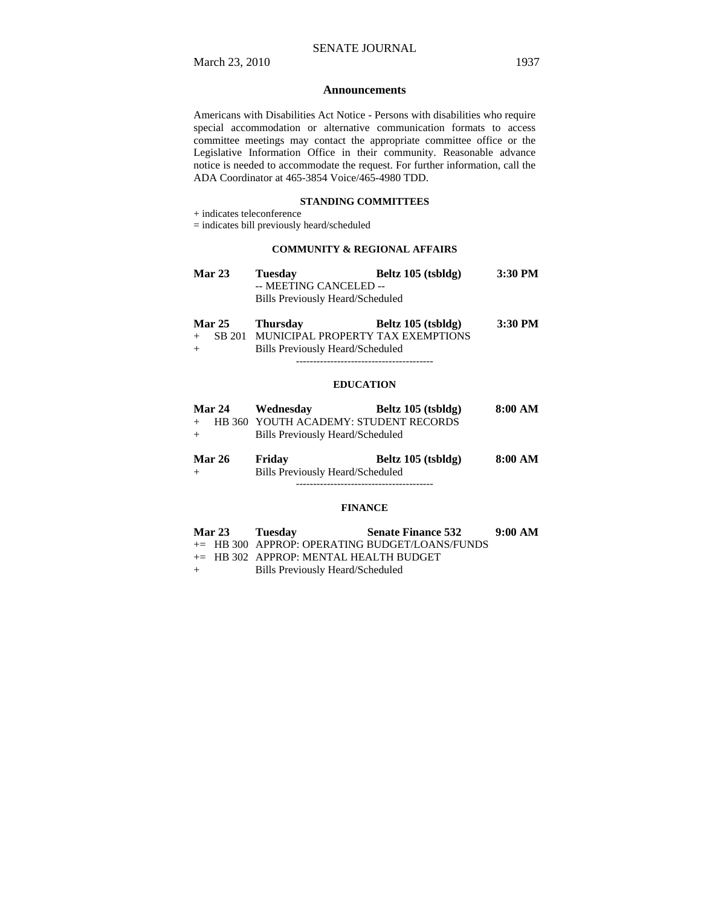#### **Announcements**

Americans with Disabilities Act Notice - Persons with disabilities who require special accommodation or alternative communication formats to access committee meetings may contact the appropriate committee office or the Legislative Information Office in their community. Reasonable advance notice is needed to accommodate the request. For further information, call the ADA Coordinator at 465-3854 Voice/465-4980 TDD.

## **STANDING COMMITTEES**

+ indicates teleconference

= indicates bill previously heard/scheduled

## **COMMUNITY & REGIONAL AFFAIRS**

| <b>Mar 23</b> | <b>Tuesday</b>                   | Beltz 105 (tsbldg) | 3:30 PM |
|---------------|----------------------------------|--------------------|---------|
|               | -- MEETING CANCELED --           |                    |         |
|               | Bills Previously Heard/Scheduled |                    |         |

|     | <b>Mar 25</b> | <b>Thursday</b>                          | Beltz 105 (tsbldg) | $3:30$ PM |
|-----|---------------|------------------------------------------|--------------------|-----------|
|     |               | SB 201 MUNICIPAL PROPERTY TAX EXEMPTIONS |                    |           |
| $+$ |               | Bills Previously Heard/Scheduled         |                    |           |

----------------------------------------

#### **EDUCATION**

| <b>Mar 24</b> | Wednesdav                               | Beltz 105 (tsbldg)                      | 8:00 AM |
|---------------|-----------------------------------------|-----------------------------------------|---------|
|               |                                         | + HB 360 YOUTH ACADEMY: STUDENT RECORDS |         |
| $+$           | <b>Bills Previously Heard/Scheduled</b> |                                         |         |
| <b>Mar 26</b> | Friday                                  | Beltz 105 (tsbldg)                      | 8:00 AM |
| $+$           | Bills Previously Heard/Scheduled        |                                         |         |

#### **FINANCE**

----------------------------------------

| <b>Mar 23</b> | <b>Tuesday</b>                            | <b>Senate Finance 532</b>                      | 9:00 AM |
|---------------|-------------------------------------------|------------------------------------------------|---------|
|               |                                           | += HB 300 APPROP: OPERATING BUDGET/LOANS/FUNDS |         |
|               | $\pm$ HB 302 APPROP: MENTAL HEALTH BUDGET |                                                |         |
|               | Dille Draviously Hoord Cohodulad          |                                                |         |

+ Bills Previously Heard/Scheduled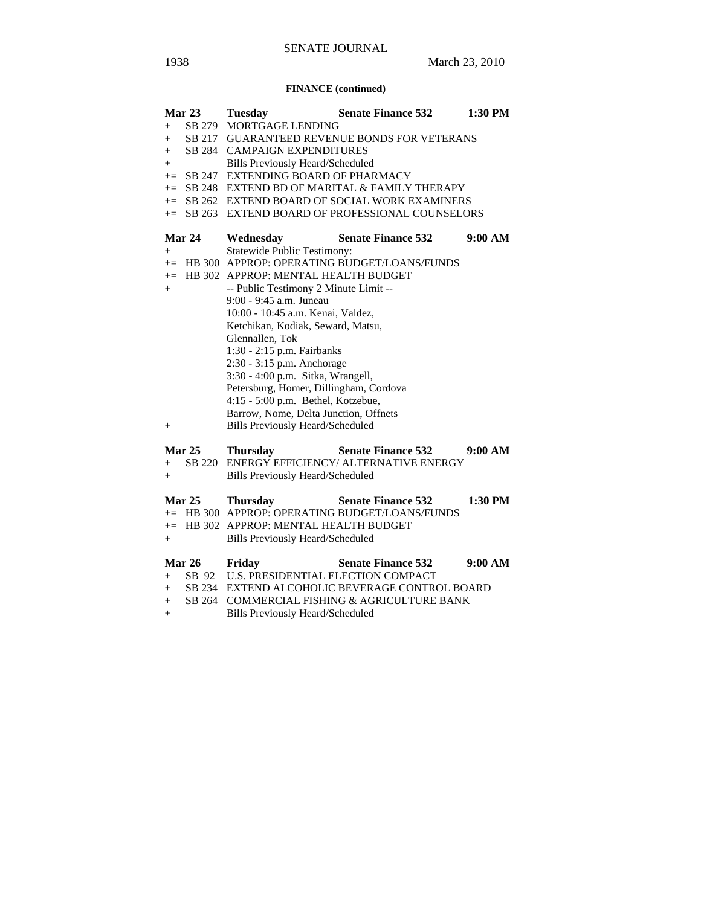## **FINANCE (continued)**

|                    | Mar 23       | <b>Tuesday</b>                               | <b>Senate Finance 532</b>                         | 1:30 PM |  |
|--------------------|--------------|----------------------------------------------|---------------------------------------------------|---------|--|
| $\hspace{0.1mm} +$ | SB 279       | MORTGAGE LENDING                             |                                                   |         |  |
| $^{+}$             |              | SB 217 GUARANTEED REVENUE BONDS FOR VETERANS |                                                   |         |  |
| $^{+}$             |              | SB 284 CAMPAIGN EXPENDITURES                 |                                                   |         |  |
| $^{+}$             |              | <b>Bills Previously Heard/Scheduled</b>      |                                                   |         |  |
|                    | $\pm$ SB 247 | EXTENDING BOARD OF PHARMACY                  |                                                   |         |  |
|                    |              |                                              | $+=$ SB 248 EXTEND BD OF MARITAL & FAMILY THERAPY |         |  |
|                    |              |                                              | += SB 262 EXTEND BOARD OF SOCIAL WORK EXAMINERS   |         |  |
| $+=$               | SB 263       |                                              | EXTEND BOARD OF PROFESSIONAL COUNSELORS           |         |  |
|                    | Mar 24       | Wednesday                                    | <b>Senate Finance 532</b>                         | 9:00 AM |  |
| $+$                |              | <b>Statewide Public Testimony:</b>           |                                                   |         |  |
| $+=$               |              |                                              | HB 300 APPROP: OPERATING BUDGET/LOANS/FUNDS       |         |  |
| $+=$               |              | HB 302 APPROP: MENTAL HEALTH BUDGET          |                                                   |         |  |
| $^{+}$             |              | -- Public Testimony 2 Minute Limit --        |                                                   |         |  |
|                    |              | 9:00 - 9:45 a.m. Juneau                      |                                                   |         |  |
|                    |              | 10:00 - 10:45 a.m. Kenai, Valdez,            |                                                   |         |  |
|                    |              | Ketchikan, Kodiak, Seward, Matsu,            |                                                   |         |  |
|                    |              | Glennallen, Tok                              |                                                   |         |  |
|                    |              | 1:30 - 2:15 p.m. Fairbanks                   |                                                   |         |  |
|                    |              | 2:30 - 3:15 p.m. Anchorage                   |                                                   |         |  |
|                    |              | 3:30 - 4:00 p.m. Sitka, Wrangell,            |                                                   |         |  |
|                    |              | Petersburg, Homer, Dillingham, Cordova       |                                                   |         |  |
|                    |              | 4:15 - 5:00 p.m. Bethel, Kotzebue,           |                                                   |         |  |
|                    |              | Barrow, Nome, Delta Junction, Offnets        |                                                   |         |  |
| $\hspace{0.1mm} +$ |              | <b>Bills Previously Heard/Scheduled</b>      |                                                   |         |  |
|                    | Mar $25$     | <b>Thursday</b>                              | <b>Senate Finance 532</b>                         | 9:00 AM |  |
| $+$                | SB 220       |                                              | ENERGY EFFICIENCY/ ALTERNATIVE ENERGY             |         |  |
| $+$                |              | <b>Bills Previously Heard/Scheduled</b>      |                                                   |         |  |
|                    | Mar 25       | <b>Thursday</b>                              | <b>Senate Finance 532</b>                         | 1:30 PM |  |
| $+=$               |              |                                              | HB 300 APPROP: OPERATING BUDGET/LOANS/FUNDS       |         |  |
|                    |              | += HB 302 APPROP: MENTAL HEALTH BUDGET       |                                                   |         |  |
| $^{+}$             |              | <b>Bills Previously Heard/Scheduled</b>      |                                                   |         |  |
|                    | Mar 26       | Friday                                       | <b>Senate Finance 532</b>                         | 9:00 AM |  |
| $^{+}$             |              | SB 92 U.S. PRESIDENTIAL ELECTION COMPACT     |                                                   |         |  |
| $+$                | SB 234       |                                              | EXTEND ALCOHOLIC BEVERAGE CONTROL BOARD           |         |  |
| $^{+}$             | SB 264       |                                              | COMMERCIAL FISHING & AGRICULTURE BANK             |         |  |
|                    |              | D. He Desviessely Heard (Calcedyled)         |                                                   |         |  |

+ Bills Previously Heard/Scheduled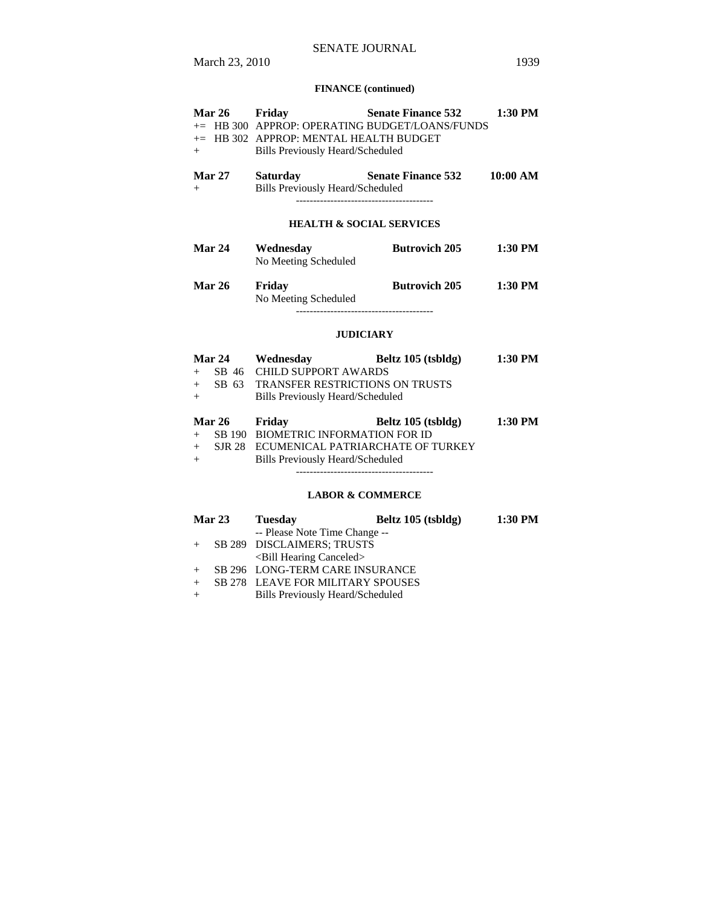# SENATE JOURNAL

## **FINANCE (continued)**

| <b>Mar 26</b><br>$+$               | Friday<br>$+=$ HB 302 APPROP: MENTAL HEALTH BUDGET<br><b>Bills Previously Heard/Scheduled</b>                     | <b>Senate Finance 532</b><br>+= HB 300 APPROP: OPERATING BUDGET/LOANS/FUNDS | 1:30 PM  |
|------------------------------------|-------------------------------------------------------------------------------------------------------------------|-----------------------------------------------------------------------------|----------|
| <b>Mar 27</b><br>$+$               | <b>Saturday</b><br>Bills Previously Heard/Scheduled                                                               | <b>Senate Finance 532</b>                                                   | 10:00 AM |
|                                    |                                                                                                                   | <b>HEALTH &amp; SOCIAL SERVICES</b>                                         |          |
| Mar 24                             | Wednesday<br>No Meeting Scheduled                                                                                 | <b>Butrovich 205</b>                                                        | 1:30 PM  |
| <b>Mar 26</b>                      | Friday<br>No Meeting Scheduled                                                                                    | <b>Butrovich 205</b>                                                        | 1:30 PM  |
|                                    |                                                                                                                   | <b>JUDICIARY</b>                                                            |          |
| SB 63<br>$+$<br>$^{+}$             | + SB 46 CHILD SUPPORT AWARDS<br><b>TRANSFER RESTRICTIONS ON TRUSTS</b><br><b>Bills Previously Heard/Scheduled</b> | Mar 24 Wednesday Beltz 105 (tsbldg)                                         | 1:30 PM  |
| <b>Mar 26</b><br>$+$<br>$+$<br>$+$ | Friday<br>SB 190 BIOMETRIC INFORMATION FOR ID<br><b>Bills Previously Heard/Scheduled</b>                          | Beltz 105 (tsbldg)<br>SJR 28 ECUMENICAL PATRIARCHATE OF TURKEY              | 1:30 PM  |
|                                    |                                                                                                                   | <b>LABOR &amp; COMMERCE</b>                                                 |          |
| Mor 23                             | Tueedov                                                                                                           | Roltz 105 (tehlda)                                                          | 1.30 PM  |

| <b>Mar 23</b> |  | <b>Tuesday</b>                    | Beltz 105 (tsbldg) | $1:30$ PM |
|---------------|--|-----------------------------------|--------------------|-----------|
|               |  | -- Please Note Time Change --     |                    |           |
| $+$           |  | SB 289 DISCLAIMERS; TRUSTS        |                    |           |
|               |  | $\le$ Bill Hearing Canceled $>$   |                    |           |
|               |  | SB 296 LONG-TERM CARE INSURANCE   |                    |           |
| $+$           |  | SB 278 LEAVE FOR MILITARY SPOUSES |                    |           |
|               |  | 1/01 11 11 11 1/01 11 11          |                    |           |

+ Bills Previously Heard/Scheduled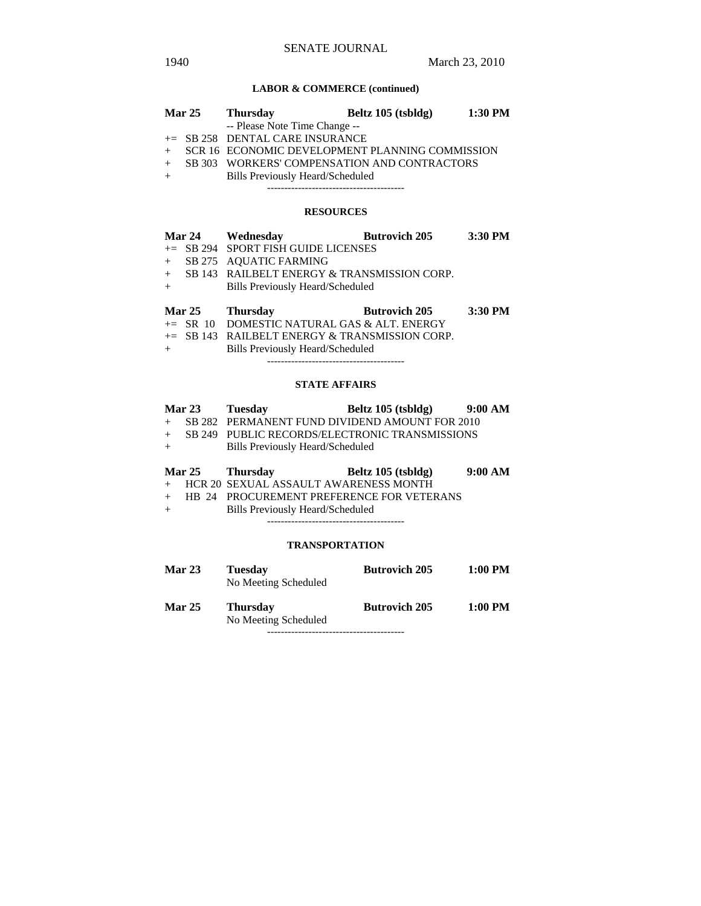## **LABOR & COMMERCE (continued)**

|                               | <b>Mar 25</b> | <b>Thursday</b>                                   | Beltz 105 (tsbldg) | 1:30 PM |
|-------------------------------|---------------|---------------------------------------------------|--------------------|---------|
| -- Please Note Time Change -- |               |                                                   |                    |         |
|                               |               | $+=$ SB 258 DENTAL CARE INSURANCE                 |                    |         |
|                               |               | + SCR 16 ECONOMIC DEVELOPMENT PLANNING COMMISSION |                    |         |
| $+$                           |               | SB 303 WORKERS' COMPENSATION AND CONTRACTORS      |                    |         |
| $+$                           |               | <b>Bills Previously Heard/Scheduled</b>           |                    |         |
|                               |               |                                                   |                    |         |

#### **RESOURCES**

|     |               | Mar 24 Wednesday                              | <b>Butrovich 205</b> | 3:30 PM |
|-----|---------------|-----------------------------------------------|----------------------|---------|
|     |               | $+=$ SB 294 SPORT FISH GUIDE LICENSES         |                      |         |
|     |               | + SB 275 AQUATIC FARMING                      |                      |         |
|     |               | + SB 143 RAILBELT ENERGY & TRANSMISSION CORP. |                      |         |
| $+$ |               | Bills Previously Heard/Scheduled              |                      |         |
|     |               |                                               |                      |         |
|     | <b>Mar 25</b> | <b>Thursday</b>                               | <b>Butrovich 205</b> | 3:30 PM |
|     | . CD 10       | DOMESTIC MATURAL CAS & ALT EMERCY             |                      |         |

|     | $\pm$ SR 10 DOMESTIC NATURAL GAS & ALT. ENERGY    |
|-----|---------------------------------------------------|
|     | $\pm$ SB 143 RAILBELT ENERGY & TRANSMISSION CORP. |
| $+$ | Bills Previously Heard/Scheduled                  |

----------------------------------------

## **STATE AFFAIRS**

|     | <b>Mar 23</b> | Tuesdav                          | Beltz 105 (tsbldg)                               | 9:00 AM |
|-----|---------------|----------------------------------|--------------------------------------------------|---------|
|     |               |                                  | + SB 282 PERMANENT FUND DIVIDEND AMOUNT FOR 2010 |         |
|     |               |                                  | SB 249 PUBLIC RECORDS/ELECTRONIC TRANSMISSIONS   |         |
| $+$ |               | Bills Previously Heard/Scheduled |                                                  |         |

| <b>Mar 25</b> | <b>Thursday</b>                         | Beltz 105 (tsbldg)                          | 9:00 AM |
|---------------|-----------------------------------------|---------------------------------------------|---------|
|               | + HCR 20 SEXUAL ASSAULT AWARENESS MONTH |                                             |         |
|               |                                         | + HB 24 PROCUREMENT PREFERENCE FOR VETERANS |         |
|               | 1/01 11:11 11:11 11:11                  |                                             |         |

+ Bills Previously Heard/Scheduled ----------------------------------------

#### **TRANSPORTATION**

| <b>Mar 23</b> | <b>Tuesday</b><br>No Meeting Scheduled  | <b>Butrovich 205</b> | 1:00 PM |
|---------------|-----------------------------------------|----------------------|---------|
| <b>Mar 25</b> | <b>Thursday</b><br>No Meeting Scheduled | <b>Butrovich 205</b> | 1:00 PM |
|               |                                         |                      |         |